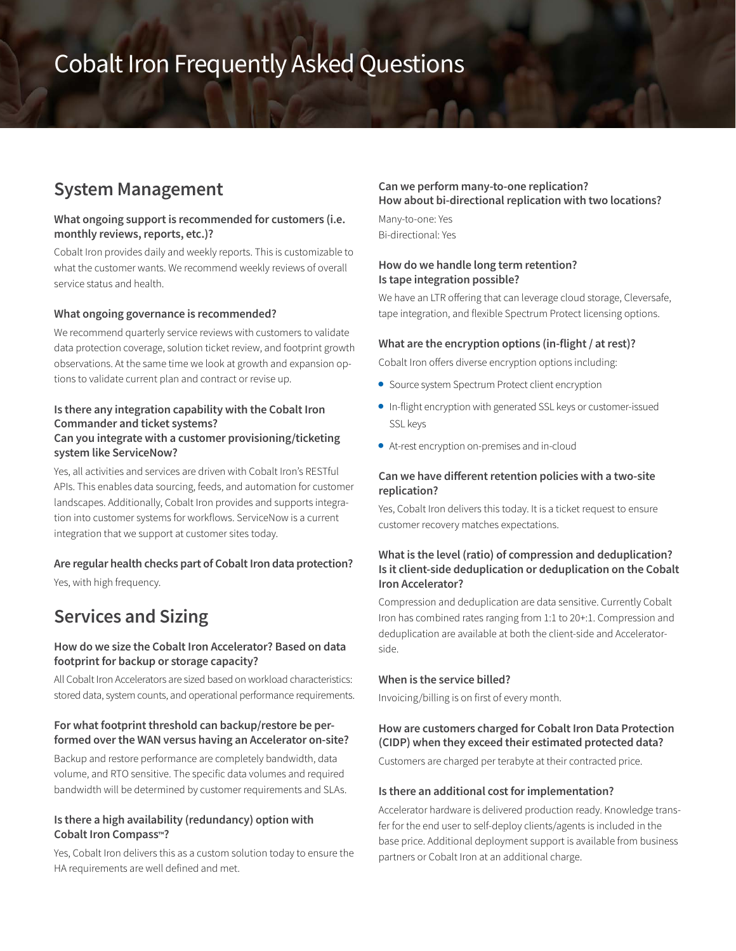# Cobalt Iron Frequently Asked Questions

# **System Management**

#### **What ongoing support is recommended for customers (i.e. monthly reviews, reports, etc.)?**

Cobalt Iron provides daily and weekly reports. This is customizable to what the customer wants. We recommend weekly reviews of overall service status and health.

#### **What ongoing governance is recommended?**

We recommend quarterly service reviews with customers to validate data protection coverage, solution ticket review, and footprint growth observations. At the same time we look at growth and expansion options to validate current plan and contract or revise up.

#### **Is there any integration capability with the Cobalt Iron Commander and ticket systems? Can you integrate with a customer provisioning/ticketing system like ServiceNow?**

Yes, all activities and services are driven with Cobalt Iron's RESTful APIs. This enables data sourcing, feeds, and automation for customer landscapes. Additionally, Cobalt Iron provides and supports integration into customer systems for workflows. ServiceNow is a current integration that we support at customer sites today.

#### **Are regular health checks part of Cobalt Iron data protection?**

Yes, with high frequency.

# **Services and Sizing**

### **How do we size the Cobalt Iron Accelerator? Based on data footprint for backup or storage capacity?**

All Cobalt Iron Accelerators are sized based on workload characteristics: stored data, system counts, and operational performance requirements.

#### **For what footprint threshold can backup/restore be performed over the WAN versus having an Accelerator on-site?**

Backup and restore performance are completely bandwidth, data volume, and RTO sensitive. The specific data volumes and required bandwidth will be determined by customer requirements and SLAs.

#### **Is there a high availability (redundancy) option with Cobalt Iron Compass™?**

Yes, Cobalt Iron delivers this as a custom solution today to ensure the HA requirements are well defined and met.

#### **Can we perform many-to-one replication? How about bi-directional replication with two locations?**

Many-to-one: Yes Bi-directional: Yes

#### **How do we handle long term retention? Is tape integration possible?**

We have an LTR offering that can leverage cloud storage, Cleversafe, tape integration, and flexible Spectrum Protect licensing options.

#### **What are the encryption options (in-flight / at rest)?**

Cobalt Iron offers diverse encryption options including:

- Source system Spectrum Protect client encryption
- In-flight encryption with generated SSL keys or customer-issued SSL keys
- At-rest encryption on-premises and in-cloud

#### **Can we have different retention policies with a two-site replication?**

Yes, Cobalt Iron delivers this today. It is a ticket request to ensure customer recovery matches expectations.

### **What is the level (ratio) of compression and deduplication? Is it client-side deduplication or deduplication on the Cobalt Iron Accelerator?**

Compression and deduplication are data sensitive. Currently Cobalt Iron has combined rates ranging from 1:1 to 20+:1. Compression and deduplication are available at both the client-side and Acceleratorside.

#### **When is the service billed?**

Invoicing/billing is on first of every month.

# **How are customers charged for Cobalt Iron Data Protection (CIDP) when they exceed their estimated protected data?**

Customers are charged per terabyte at their contracted price.

#### **Is there an additional cost for implementation?**

Accelerator hardware is delivered production ready. Knowledge transfer for the end user to self-deploy clients/agents is included in the base price. Additional deployment support is available from business partners or Cobalt Iron at an additional charge.